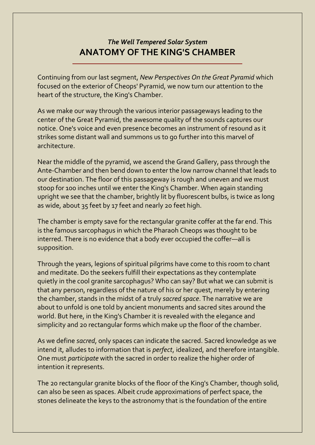# *The Well Tempered Solar System* **ANATOMY OF THE KING'S CHAMBER**

Continuing from our last segment, *New Perspectives On the Great Pyramid* which focused on the exterior of Cheops' Pyramid, we now turn our attention to the heart of the structure, the King's Chamber.

As we make our way through the various interior passageways leading to the center of the Great Pyramid, the awesome quality of the sounds captures our notice. One's voice and even presence becomes an instrument of resound as it strikes some distant wall and summons us to go further into this marvel of architecture.

Near the middle of the pyramid, we ascend the Grand Gallery, pass through the Ante-Chamber and then bend down to enter the low narrow channel that leads to our destination. The floor of this passageway is rough and uneven and we must stoop for 100 inches until we enter the King's Chamber. When again standing upright we see that the chamber, brightly lit by fluorescent bulbs, is twice as long as wide, about 35 feet by 17 feet and nearly 20 feet high.

The chamber is empty save for the rectangular granite coffer at the far end. This is the famous sarcophagus in which the Pharaoh Cheops was thought to be interred. There is no evidence that a body ever occupied the coffer—all is supposition.

Through the years, legions of spiritual pilgrims have come to this room to chant and meditate. Do the seekers fulfill their expectations as they contemplate quietly in the cool granite sarcophagus? Who can say? But what we can submit is that any person, regardless of the nature of his or her quest, merely by entering the chamber, stands in the midst of a truly *sacred space*. The narrative we are about to unfold is one told by ancient monuments and sacred sites around the world. But here, in the King's Chamber it is revealed with the elegance and simplicity and 20 rectangular forms which make up the floor of the chamber.

As we define *sacred*, only spaces can indicate the sacred. Sacred knowledge as we intend it, alludes to information that is *perfect*, idealized, and therefore intangible. One must *participate* with the sacred in order to realize the higher order of intention it represents.

The 20 rectangular granite blocks of the floor of the King's Chamber, though solid, can also be seen as spaces. Albeit crude approximations of perfect space, the stones delineate the keys to the astronomy that is the foundation of the entire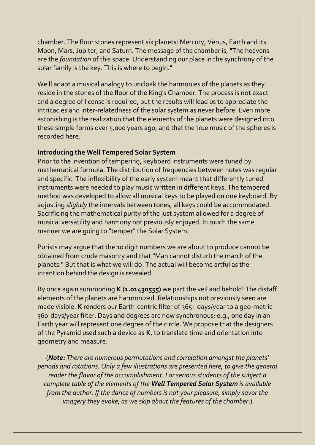chamber. The floor stones represent six planets: Mercury, Venus, Earth and its Moon, Mars, Jupiter, and Saturn. The message of the chamber is, "The heavens are the *foundation* of this space. Understanding our place in the synchrony of the solar family is the key. This is where to begin."

We'll adapt a musical analogy to uncloak the harmonies of the planets as they reside in the stones of the floor of the King's Chamber. The process is not exact and a degree of license is required, but the results will lead us to appreciate the intricacies and inter-relatedness of the solar system as never before. Even more astonishing is the realization that the elements of the planets were designed into these simple forms over 5,000 years ago, and that the true music of the spheres is recorded here.

#### **Introducing the Well Tempered Solar System**

Prior to the invention of tempering, keyboard instruments were tuned by mathematical formula. The distribution of frequencies between notes was regular and specific. The inflexibility of the early system meant that differently tuned instruments were needed to play music written in different keys. The tempered method was developed to allow all musical keys to be played on one keyboard. By adjusting *slightly* the intervals between tones, all keys could be accommodated. Sacrificing the mathematical purity of the just system allowed for a degree of musical versatility and harmony not previously enjoyed. In much the same manner we are going to "temper" the Solar System.

Purists may argue that the 10 digit numbers we are about to produce cannot be obtained from crude masonry and that "Man cannot disturb the march of the planets." But that is what we will do. The actual will become artful as the intention behind the design is revealed.

By once again summoning **K (1.01430555)** we part the veil and behold! The distaff elements of the planets are harmonized. Relationships not previously seen are made visible. **K** renders our Earth-centric filter of 365+ days/year to a geo-metric 360-days/year filter. Days and degrees are now synchronous; e.g., one day in an Earth year will represent one degree of the circle. We propose that the designers of the Pyramid used such a device as **K**, to translate time and orientation into geometry and measure.

(*Note: There are numerous permutations and correlation amongst the planets' periods and rotations. Only a few illustrations are presented here, to give the general reader the flavor of the accomplishment. For serious students of the subject a complete table of the elements of the Well Tempered Solar System is available from the author. If the dance of numbers is not your pleasure, simply savor the imagery they evoke, as we skip about the features of the chamber*.)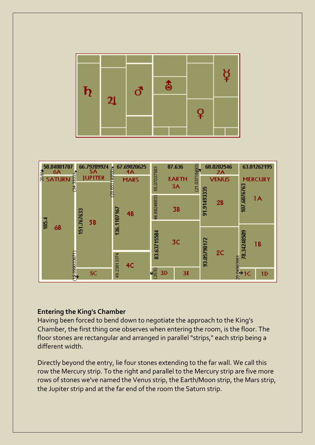

| 58.04081787<br>66.79209924<br>5A<br>6A                                                   | 67.69820625<br>4A | 03716493)<br>87.636                                 | 68.0202546<br>2A  | 63.81262195              |
|------------------------------------------------------------------------------------------|-------------------|-----------------------------------------------------|-------------------|--------------------------|
| 20.65114959 <sub>&gt;</sub><br><b>R9'02</b><br>ĝ<br><b>JUPITER</b><br><b>SATURN</b><br>ĕ | <b>MARS</b>       | 55.07037583<br><b>EARTH</b><br><b>3A</b><br>ğ       | <b>VENUS</b>      | <b>MERCURY</b>           |
| 151.767633<br><b>5B</b>                                                                  | 136.1107167<br>4B | 46.69246833<br>3B                                   | 91.91493335<br>2B | 107.6076763<br>1Α        |
| 185.4<br>6В                                                                              |                   | 83.63715584<br><b>3C</b>                            |                   | 78.34248509<br>1 B       |
| (19.89933671)                                                                            | 49.23813374<br>4C |                                                     | 93.05790172<br>2C | 1968990°02<br>1968990°02 |
| 5C                                                                                       |                   | $\epsilon_{\mathrm{205}}$<br><b>3D</b><br><b>3E</b> |                   | 1D<br>10                 |

#### **Entering the King's Chamber**

Having been forced to bend down to negotiate the approach to the King's Chamber, the first thing one observes when entering the room, is the floor. The floor stones are rectangular and arranged in parallel "strips," each strip being a different width.

Directly beyond the entry, lie four stones extending to the far wall. We call this row the Mercury strip. To the right and parallel to the Mercury strip are five more rows of stones we've named the Venus strip, the Earth/Moon strip, the Mars strip, the Jupiter strip and at the far end of the room the Saturn strip.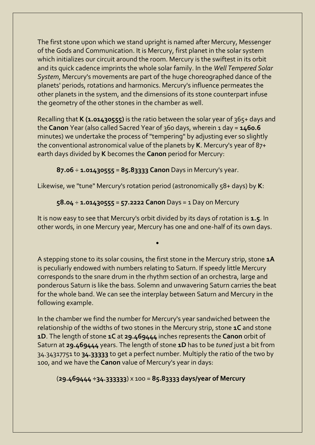The first stone upon which we stand upright is named after Mercury, Messenger of the Gods and Communication. It is Mercury, first planet in the solar system which initializes our circuit around the room. Mercury is the swiftest in its orbit and its quick cadence imprints the whole solar family. In the *Well Tempered Solar System*, Mercury's movements are part of the huge choreographed dance of the planets' periods, rotations and harmonics. Mercury's influence permeates the other planets in the system, and the dimensions of its stone counterpart infuse the geometry of the other stones in the chamber as well.

Recalling that **K (1.01430555)** is the ratio between the solar year of 365+ days and the **Canon** Year (also called Sacred Year of 360 days, wherein 1 day = **1460.6** minutes) we undertake the process of "tempering" by adjusting ever so slightly the conventional astronomical value of the planets by **K**. Mercury's year of 87+ earth days divided by **K** becomes the **Canon** period for Mercury:

**87.06** ÷ **1.01430555** = **85.83333 Canon** Days in Mercury's year.

Likewise, we "tune" Mercury's rotation period (astronomically 58+ days) by **K**:

**58.04** ÷ **1.01430555** = **57.2222 Canon** Days = 1 Day on Mercury

It is now easy to see that Mercury's orbit divided by its days of rotation is **1.5**. In other words, in one Mercury year, Mercury has one and one-half of its own days.

**•**

A stepping stone to its solar cousins, the first stone in the Mercury strip, stone **1A** is peculiarly endowed with numbers relating to Saturn. If speedy little Mercury corresponds to the snare drum in the rhythm section of an orchestra, large and ponderous Saturn is like the bass. Solemn and unwavering Saturn carries the beat for the whole band. We can see the interplay between Saturn and Mercury in the following example.

In the chamber we find the number for Mercury's year sandwiched between the relationship of the widths of two stones in the Mercury strip, stone **1C** and stone **1D**. The length of stone **1C** at **29.469444** inches represents the **Canon** orbit of Saturn at **29.469444** years. The length of stone **1D** has to be *tuned* just a bit from 34.34317751 to **34.33333** to get a perfect number. Multiply the ratio of the two by 100, and we have the **Canon** value of Mercury's year in days:

(**29.469444 ÷34.333333**) x 100 = **85.83333 days/year of Mercury**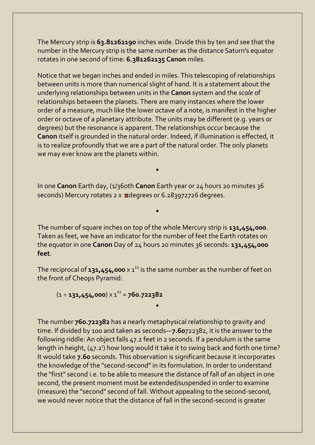The Mercury strip is **63.81262190** inches wide. Divide this by ten and see that the number in the Mercury strip is the same number as the distance Saturn's equator rotates in one second of time: **6.381262135 Canon** miles.

Notice that we began inches and ended in miles. This telescoping of relationships between units is more than numerical slight of hand. It is a statement about the underlying relationships between units in the **Canon** system and the *scale* of relationships between the planets. There are many instances where the lower order of a measure, much like the lower octave of a note, is manifest in the higher order or octave of a planetary attribute. The units may be different (e.g. years or degrees) but the resonance is apparent. The relationships occur because the **Canon** itself is grounded in the natural order. Indeed, if illumination is effected, it is to realize profoundly that we are a part of the natural order. The only planets we may ever know are the planets within.

In one **Canon** Earth day, (1/360th **Canon** Earth year or 24 hours 20 minutes 36 seconds) Mercury rotates  $2 \times \pi$ degrees or 6.283972726 degrees.

**•**

**•**

The number of square inches on top of the whole Mercury strip is **131,454,000**. Taken as feet, we have an indicator for the number of feet the Earth rotates on the equator in one **Canon** Day of 24 hours 20 minutes 36 seconds: **131,454,000 feet**.

The reciprocal of **131,454,000** x 1 <sup>11</sup> is the same number as the number of feet on the front of Cheops Pyramid:

**•**

$$
(1 \div \mathbf{131,} 454,000) \times 1^{11} = 760.722382
$$

The number **760.722382** has a nearly metaphysical relationship to gravity and time. If divided by 100 and taken as seconds—**7.60**722382, it is the answer to the following riddle: An object falls 47.2 feet in 2 seconds. If a pendulum is the same length in height, (47.2') how long would it take it to swing back and forth one time? It would take **7.60** seconds. This observation is significant because it incorporates the knowledge of the "second-second" in its formulation. In order to understand the "first" second i.e. to be able to measure the distance of fall of an object in one second, the present moment must be extended/suspended in order to examine (measure) the "second" second of fall. Without appealing to the second-second, we would never notice that the distance of fall in the second-second is greater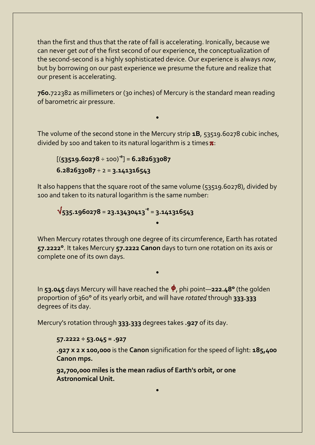than the first and thus that the rate of fall is accelerating. Ironically, because we can never get *out* of the first second of our experience, the conceptualization of the second-second is a highly sophisticated device. Our experience is always *now*, but by borrowing on our past experience we presume the future and realize that our present is accelerating.

**760.**722382 as millimeters or (30 inches) of Mercury is the standard mean reading of barometric air pressure.

The volume of the second stone in the Mercury strip **1B**, 53519.60278 cubic inches, divided by 100 and taken to its natural logarithm is 2 times  $\pi$ :

**•**

[(**53519.60278** ÷ 100)**-e** ] = **6.282633087 6.282633087** ÷ 2 = **3.141316543**

It also happens that the square root of the same volume (53519.60278), divided by 100 and taken to its natural logarithm is the same number:

**535.1960278** = **23.13430413-e** = **3.141316543 •**

When Mercury rotates through one degree of its circumference, Earth has rotated **57.2222°**. It takes Mercury **57.2222 Canon** days to turn one rotation on its axis or complete one of its own days.

**•**

In **53.045** days Mercury will have reached the , phi point—**222.48°** (the golden proportion of 360° of its yearly orbit, and will have *rotated* through **333.333** degrees of its day.

Mercury's rotation through **333.333** degrees takes **.927** of its day.

**57.2222 ÷ 53.045 = .927**

**.927 x 2 x 100,000** is the **Canon** signification for the speed of light: **185,400 Canon mps.**

**92,700,000 miles is the mean radius of Earth's orbit, or one Astronomical Unit.**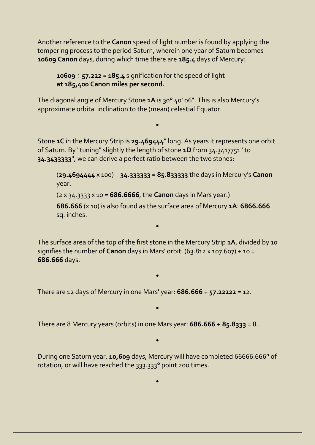Another reference to the **Canon** speed of light number is found by applying the tempering process to the period Saturn, wherein one year of Saturn becomes **10609 Canon** days, during which time there are **185.4** days of Mercury:

**10609** ÷ **57.222** = **185.4** signification for the speed of light **at 185,400 Canon miles per second.**

The diagonal angle of Mercury Stone **1A** is 30° 40' 06". This is also Mercury's approximate orbital inclination to the (mean) celestial Equator.

Stone **1C** in the Mercury Strip is **29.469444**" long. As years it represents one orbit of Saturn. By "tuning" slightly the length of stone **1D** from 34.3417751" to **34.3433333**", we can derive a perfect ratio between the two stones:

**•**

(**29.4694444** x 100) ÷ **34.333333** = **85.833333** the days in Mercury's **Canon** year.

(2 x 34.3333 x 10 = **686.6666**, the **Canon** days in Mars year.)

**686.666** (x 10) is also found as the surface area of Mercury **1A**: **6866.666** sq. inches.

The surface area of the top of the first stone in the Mercury Strip **1A**, divided by 10 signifies the number of **Canon** days in Mars' orbit:  $(63.812 \times 107.607) \div 10 =$ **686.666** days.

**•**

**•**

**•**

There are 12 days of Mercury in one Mars' year: **686.666** ÷ **57.22222** = 12.

There are 8 Mercury years (orbits) in one Mars year: **686.666 ÷ 85.8333** = 8.

During one Saturn year, **10,609** days, Mercury will have completed 66666.666° of rotation, or will have reached the 333.333° point 200 times.

**•**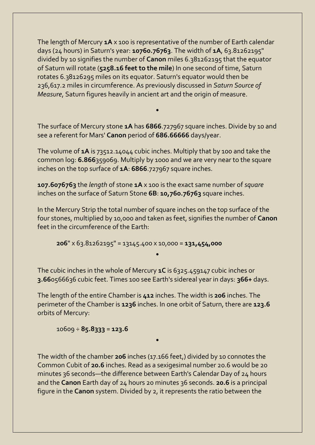The length of Mercury **1A** x 100 is representative of the number of Earth calendar days (24 hours) in Saturn's year: **10760.76763**. The width of **1A**, 63.81262195" divided by 10 signifies the number of **Canon** miles 6.381262195 that the equator of Saturn will rotate (**5258.16 feet to the mile**) In one second of time, Saturn rotates 6.38126295 miles on its equator. Saturn's equator would then be 236,617.2 miles in circumference. As previously discussed in *Saturn Source of Measure*, Saturn figures heavily in ancient art and the origin of measure.

The surface of Mercury stone **1A** has **6866**.727967 square inches. Divide by 10 and see a referent for Mars' **Canon** period of **686.66666** days/year.

**•**

The volume of **1A** is 73512.14044 cubic inches. Multiply that by 100 and take the common log: **6.866**359069. Multiply by 1000 and we are very near to the square inches on the top surface of **1A**: **6866**.727967 square inches.

**107.6076763** the *length* of stone **1A** x 100 is the exact same number of *square*  inches on the surface of Saturn Stone **6B**: **10,760.76763** square inches.

In the Mercury Strip the total number of square inches on the top surface of the four stones, multiplied by 10,000 and taken as feet, signifies the number of **Canon** feet in the circumference of the Earth:

**206**" x 63.81262195" = 13145.400 x 10,000 = **131,454,000**

The cubic inches in the whole of Mercury **1C** is 6325.459147 cubic inches or **3.66**0566636 cubic feet. Times 100 see Earth's sidereal year in days: **366+** days.

**•**

The length of the entire Chamber is **412** inches. The width is **206** inches. The perimeter of the Chamber is **1236** inches. In one orbit of Saturn, there are **123.6** orbits of Mercury:

**•**

10609 ÷ **85.8333** = **123.6**

The width of the chamber **206** inches (17.166 feet,) divided by 10 connotes the Common Cubit of **20.6** inches. Read as a sexigesimal number 20.6 would be 20 minutes 36 seconds—the difference between Earth's Calendar Day of 24 hours and the **Canon** Earth day of 24 hours 20 minutes 36 seconds. **20.6** is a principal figure in the **Canon** system. Divided by 2, it represents the ratio between the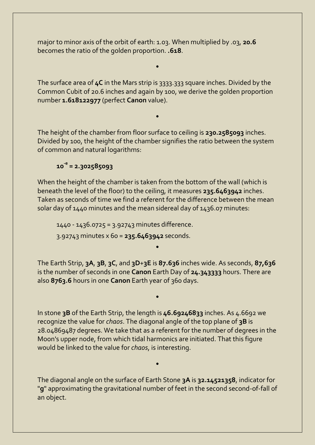major to minor axis of the orbit of earth: 1.03. When multiplied by .03, **20.6** becomes the ratio of the golden proportion. **.618**.

The surface area of **4C** in the Mars strip is 3333.333 square inches. Divided by the Common Cubit of 20.6 inches and again by 100, we derive the golden proportion number **1.618122977** (perfect **Canon** value).

**•**

The height of the chamber from floor surface to ceiling is **230.2585093** inches. Divided by 100, the height of the chamber signifies the ratio between the system of common and natural logarithms:

**•**

$$
10^{-e} = 2.302585093
$$

When the height of the chamber is taken from the bottom of the wall (which is beneath the level of the floor) to the ceiling, it measures **235.6463942** inches. Taken as seconds of time we find a referent for the difference between the mean solar day of 1440 minutes and the mean sidereal day of 1436.07 minutes:

1440 - 1436.0725 = 3.92743 minutes difference.

3.92743 minutes x 60 = **235.6463942** seconds.

The Earth Strip, **3A**, **3B**, **3C**, and **3D**+**3E** is **87.636** inches wide. As seconds, **87,636** is the number of seconds in one **Canon** Earth Day of **24.343333** hours. There are also **8763.6** hours in one **Canon** Earth year of 360 days.

**•**

**•**

In stone **3B** of the Earth Strip, the length is **46.69246833** inches. As 4.6692 we recognize the value for *chaos*. The diagonal angle of the top plane of **3B** is 28.04869487 degrees. We take that as a referent for the number of degrees in the Moon's upper node, from which tidal harmonics are initiated. That this figure would be linked to the value for *chaos*, is interesting.

The diagonal angle on the surface of Earth Stone **3A** is **32.14521358**, indicator for "**g**" approximating the gravitational number of feet in the second second-of-fall of an object.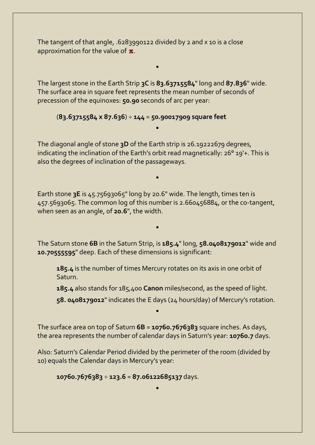The tangent of that angle, .6283990122 divided by 2 and x 10 is a close approximation for the value of  $\pi$ .

The largest stone in the Earth Strip **3C** is **83.63715584**" long and **87.836**" wide. The surface area in square feet represents the mean number of seconds of precession of the equinoxes: **50.90** seconds of arc per year:

**•**

## (**83.63715584 x 87.636**) ÷ **144** = **50.90017909 square feet**

The diagonal angle of stone **3D** of the Earth strip is 26.19222679 degrees, indicating the inclination of the Earth's orbit read magnetically: 26° 19'+. This is also the degrees of inclination of the passageways.

**•**

Earth stone **3E** is 45.75693065" long by 20.6" wide. The length, times ten is 457.5693065. The common log of this number is 2.660456884, or the co-tangent, when seen as an angle, of **20.6**", the width.

**•**

The Saturn stone **6B** in the Saturn Strip, is **185.4**" long, **58.0408179012**" wide and **10.70555595**" deep. Each of these dimensions is significant:

**•**

**185.4** is the number of times Mercury rotates on its axis in one orbit of Saturn.

**185.4** also stands for 185,400 **Canon** miles/second, as the speed of light.

**58. 0408179012**" indicates the E days (24 hours/day) of Mercury's rotation.

The surface area on top of Saturn **6B** = **10760.7676383** square inches. As days, the area represents the number of calendar days in Saturn's year: **10760.7** days.

**•**

Also: Saturn's Calendar Period divided by the perimeter of the room (divided by 10) equals the Calendar days in Mercury's year:

**•**

**10760.7676383** ÷ **123.6** = **87.06122685137** days.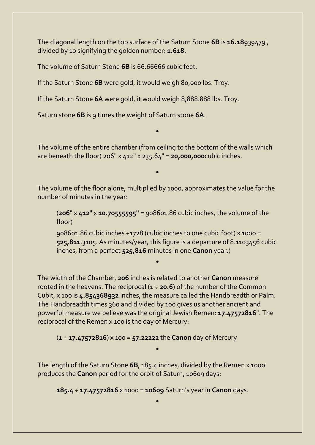The diagonal length on the top surface of the Saturn Stone **6B** is **16.18**939479', divided by 10 signifying the golden number: **1.618**.

The volume of Saturn Stone **6B** is 66.66666 cubic feet.

If the Saturn Stone **6B** were gold, it would weigh 80,000 lbs. Troy.

If the Saturn Stone **6A** were gold, it would weigh 8,888.888 lbs. Troy.

Saturn stone **6B** is 9 times the weight of Saturn stone **6A**.

The volume of the entire chamber (from ceiling to the bottom of the walls which are beneath the floor) 206" x 412" x 235.64" = **20,000,000**cubic inches.

**•**

The volume of the floor alone, multiplied by 1000, approximates the value for the number of minutes in the year:

**•**

(**206**" x **412"** x **10.70555595"** = 908601.86 cubic inches, the volume of the floor)

 $908601.86$  cubic inches  $\div$ 1728 (cubic inches to one cubic foot) x 1000 = **525,811**.3105. As minutes/year, this figure is a departure of 8.1103456 cubic inches, from a perfect **525,816** minutes in one **Canon** year.)

The width of the Chamber, **206** inches is related to another **Canon** measure rooted in the heavens. The reciprocal (1 ÷ **20.6**) of the number of the Common Cubit, x 100 is **4.854368932** inches, the measure called the Handbreadth or Palm. The Handbreadth times 360 and divided by 100 gives us another ancient and powerful measure we believe was the original Jewish Remen: **17.47572816**". The reciprocal of the Remen x 100 is the day of Mercury:

**•**

(1 ÷ **17.47572816**) x 100 = **57.22222** the **Canon** day of Mercury

The length of the Saturn Stone **6B**, 185.4 inches, divided by the Remen x 1000 produces the **Canon** period for the orbit of Saturn, 10609 days:

**•**

**185.4** ÷ **17.47572816** x 1000 = **10609** Saturn's year in **Canon** days.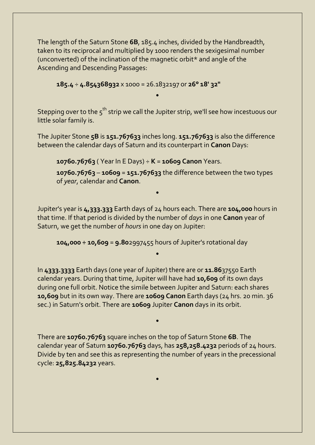The length of the Saturn Stone **6B**, 185.4 inches, divided by the Handbreadth, taken to its reciprocal and multiplied by 1000 renders the sexigesimal number (unconverted) of the inclination of the magnetic orbit\* and angle of the Ascending and Descending Passages:

**185.4** ÷ **4.854368932** x 1000 = 26.1832197 or **26° 18' 32"**

Stepping over to the  $5<sup>th</sup>$  strip we call the Jupiter strip, we'll see how incestuous our little solar family is.

**•**

The Jupiter Stone **5B** is **151.767633** inches long. **151.767633** is also the difference between the calendar days of Saturn and its counterpart in **Canon** Days:

**10760.76763** ( Year In E Days) ÷ **K** = **10609 Canon** Years.

**10760.76763** – **10609** = **151.767633** the difference between the two types of *year*, calendar and **Canon**.

Jupiter's year is **4,333.333** Earth days of 24 hours each. There are **104,000** hours in that time. If that period is divided by the number of *days* in one **Canon** year of Saturn, we get the number of *hours*in one day on Jupiter:

**•**

**•**

**104,000 ÷ 10,609** = **9.80**2997455 hours of Jupiter's rotational day

In **4333.3333** Earth days (one year of Jupiter) there are or **11.86**37550 Earth calendar years. During that time, Jupiter will have had **10,609** of its own days during one full orbit. Notice the simile between Jupiter and Saturn: each shares **10,609** but in its own way. There are **10609 Canon** Earth days (24 hrs. 20 min. 36 sec.) in Saturn's orbit. There are **10609** Jupiter **Canon** days in its orbit.

There are **10760.76763** square inches on the top of Saturn Stone **6B**. The calendar year of Saturn **10760.76763** days, has **258,258.4232** periods of 24 hours. Divide by ten and see this as representing the number of years in the precessional cycle: **25,825.84232** years.

**•**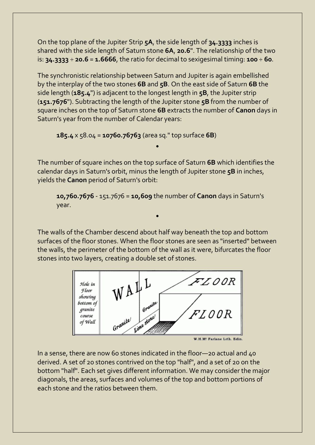On the top plane of the Jupiter Strip **5A**, the side length of **34.3333** inches is shared with the side length of Saturn stone **6A**, **20.6**". The relationship of the two is: **34.3333** ÷ **20.6** = **1.6666**, the ratio for decimal to sexigesimal timing: **100** ÷ **60**.

The synchronistic relationship between Saturn and Jupiter is again embellished by the interplay of the two stones **6B** and **5B**. On the east side of Saturn **6B** the side length (**185.4**") is adjacent to the longest length in **5B**, the Jupiter strip (**151.7676**"). Subtracting the length of the Jupiter stone **5B** from the number of square inches on the top of Saturn stone **6B** extracts the number of **Canon** days in Saturn's year from the number of Calendar years:

**185.4** x 58.04 = **10760.76763** (area sq." top surface **6B**)

The number of square inches on the top surface of Saturn **6B** which identifies the calendar days in Saturn's orbit, minus the length of Jupiter stone **5B** in inches, yields the **Canon** period of Saturn's orbit:

**•**

**10,760.7676** - 151.7676 = **10,609** the number of **Canon** days in Saturn's year.

The walls of the Chamber descend about half way beneath the top and bottom surfaces of the floor stones. When the floor stones are seen as "inserted" between the walls, the perimeter of the bottom of the wall as it were, bifurcates the floor stones into two layers, creating a double set of stones.

**•**



W.H.M: Farlane Lith. Edin.

In a sense, there are now 60 stones indicated in the floor—20 actual and 40 derived. A set of 20 stones contrived on the top "half", and a set of 20 on the bottom "half". Each set gives different information. We may consider the major diagonals, the areas, surfaces and volumes of the top and bottom portions of each stone and the ratios between them.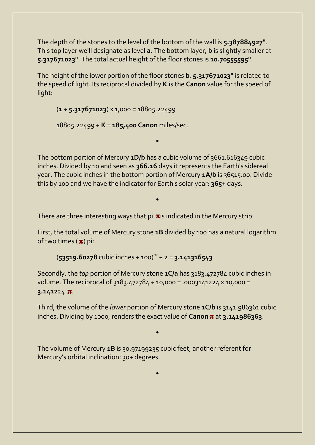The depth of the stones to the level of the bottom of the wall is **5.387884927"**. This top layer we'll designate as level **a**. The bottom layer, **b** is slightly smaller at **5.317671023"**. The total actual height of the floor stones is **10.70555595"**.

The height of the lower portion of the floor stones **b**, **5.317671023"** is related to the speed of light. Its reciprocal divided by **K** is the **Canon** value for the speed of light:

(**1** ÷ **5.317671023**) x 1,000 **=** 18805.22499 18805.22499 ÷ **K** = **185,400 Canon** miles/sec.

The bottom portion of Mercury **1D/b** has a cubic volume of 3661.616349 cubic inches. Divided by 10 and seen as **366.16** days it represents the Earth's sidereal year. The cubic inches in the bottom portion of Mercury **1A/b** is 36515.00. Divide this by 100 and we have the indicator for Earth's solar year: **365+** days.

**•**

There are three interesting ways that pi  $\pi$  is indicated in the Mercury strip:

First, the total volume of Mercury stone **1B** divided by 100 has a natural logarithm of two times  $(\pi)$  pi:

**•**

(**53519.60278** cubic inches ÷ 100)**-e** ÷ 2 = **3.141316543**

Secondly, the *top* portion of Mercury stone **1C/a** has 3183.472784 cubic inches in volume. The reciprocal of  $3183.472784 \div 10,000 = .0003141224 \times 10,000 =$ **3.141**224 .

Third, the volume of the *lower* portion of Mercury stone **1C/b** is 3141.986361 cubic inches. Dividing by 1000, renders the exact value of **Canon**  $\pi$  at **3.141986363**.

**•**

**•**

The volume of Mercury **1B** is 30.97199235 cubic feet, another referent for Mercury's orbital inclination: 30+ degrees.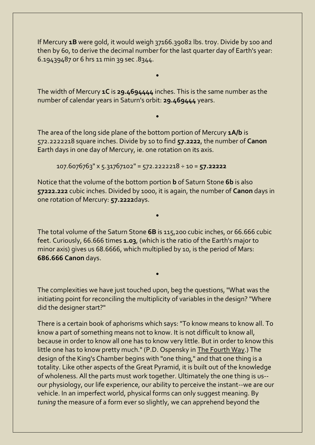If Mercury **1B** were gold, it would weigh 37166.39082 lbs. troy. Divide by 100 and then by 60, to derive the decimal number for the last quarter day of Earth's year: 6.19439487 or 6 hrs 11 min 39 sec .8344.

**•**

**•**

The width of Mercury **1C** is **29.4694444** inches. This is the same number as the number of calendar years in Saturn's orbit: **29.469444** years.

The area of the long side plane of the bottom portion of Mercury **1A/b** is 572.2222218 square inches. Divide by 10 to find **57.2222**, the number of **Canon** Earth days in one day of Mercury, ie. one rotation on its axis.

107.6076763" x 5.31767102" = 572.2222218 ÷ 10 = **57.22222**

Notice that the volume of the bottom portion **b** of Saturn Stone **6b** is also **57222.222** cubic inches. Divided by 1000, it is again, the number of **Canon** days in one rotation of Mercury: **57.2222**days.

**•**

The total volume of the Saturn Stone **6B** is 115,200 cubic inches, or 66.666 cubic feet. Curiously, 66.666 times **1.03**, (which is the ratio of the Earth's major to minor axis) gives us 68.6666, which multiplied by 10, is the period of Mars: **686.666 Canon** days.

The complexities we have just touched upon, beg the questions, "What was the initiating point for reconciling the multiplicity of variables in the design? "Where did the designer start?"

**•**

There is a certain book of aphorisms which says: "To know means to know all. To know a part of something means not to know. It is not difficult to know all, because in order to know all one has to know very little. But in order to know this little one has to know pretty much." (P.D. Ospensky in The Fourth Way.) The design of the King's Chamber begins with "one thing," and that one thing is a totality. Like other aspects of the Great Pyramid, it is built out of the knowledge of wholeness. All the parts must work together. Ultimately the one thing is us- our physiology, our life experience, our ability to perceive the instant--we are our vehicle. In an imperfect world, physical forms can only suggest meaning. By *tuning* the measure of a form ever so slightly, we can apprehend beyond the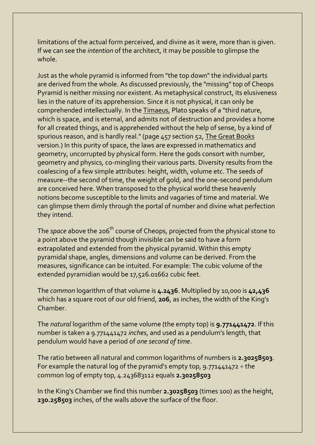limitations of the actual form perceived, and divine as it were, more than is given. If we can see the *intention* of the architect, it may be possible to glimpse the whole.

Just as the whole pyramid is informed from "the top down" the individual parts are derived from the whole. As discussed previously, the "missing" top of Cheops Pyramid is neither missing nor existent. As metaphysical construct, its elusiveness lies in the nature of its apprehension. Since it is not physical, it can only be comprehended intellectually. In the Timaeus, Plato speaks of a "third nature, which is space, and is eternal, and admits not of destruction and provides a home for all created things, and is apprehended without the help of sense, by a kind of spurious reason, and is hardly real." (page 457 section 52, The Great Books version.) In this purity of space, the laws are expressed in mathematics and geometry, uncorrupted by physical form. Here the gods consort with number, geometry and physics, co-mingling their various parts. Diversity results from the coalescing of a few simple attributes: height, width, volume etc. The seeds of measure--the second of time, the weight of gold, and the one-second pendulum are conceived here. When transposed to the physical world these heavenly notions become susceptible to the limits and vagaries of time and material. We can glimpse them dimly through the portal of number and divine what perfection they intend.

The *space* above the 206<sup>th</sup> course of Cheops, projected from the physical stone to a point above the pyramid though invisible can be said to have a form extrapolated and extended from the physical pyramid. Within this empty pyramidal shape, angles, dimensions and volume can be derived. From the measures, significance can be intuited. For example: The cubic volume of the extended pyramidian would be 17,526.01662 cubic feet.

The *common* logarithm of that volume is **4.2436**. Multiplied by 10,000 is **42,436** which has a square root of our old friend, **206**, as inches, the width of the King's Chamber.

The *natural* logarithm of the same volume (the empty top) is **9.771441472**. If this number is taken a 9.771441472 *inches*, and used as a pendulum's length, that pendulum would have a period of *one second of time*.

The ratio between all natural and common logarithms of numbers is **2.30258503**. For example the natural log of the pyramid's empty top, 9.771441472  $\div$  the common log of empty top, 4.243683112 equals **2.30258503**

In the King's Chamber we find this number **2.30258503** (times 100) as the height, **230.258503** inches, of the walls *above* the surface of the floor.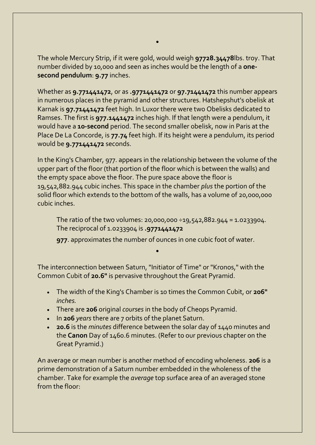The whole Mercury Strip, if it were gold, would weigh **97728.34478**lbs. troy. That number divided by 10,000 and seen as inches would be the length of a **onesecond pendulum**: **9.77** inches.

**•**

Whether as **9.771441472**, or as **.9771441472** or **97.71441472** this number appears in numerous places in the pyramid and other structures. Hatshepshut's obelisk at Karnak is **97.71441472** feet high. In Luxor there were two Obelisks dedicated to Ramses. The first is **977.1441472** inches high. If that length were a pendulum, it would have a **10-second** period. The second smaller obelisk, now in Paris at the Place De La Concorde, is **77.74** feet high. If its height were a pendulum, its period would be **9.771441472** seconds.

In the King's Chamber, 977. appears in the relationship between the volume of the upper part of the floor (that portion of the floor which is between the walls) and the empty space above the floor. The pure space above the floor is 19,542,882.944 cubic inches. This space in the chamber *plus* the portion of the solid floor which extends to the bottom of the walls, has a volume of 20,000,000 cubic inches.

The ratio of the two volumes: 20,000,000 ÷19,542,882.944 = 1.0233904. The reciprocal of 1.0233904 is **.9771441472**

**977**. approximates the number of ounces in one cubic foot of water.

**•**

The interconnection between Saturn, "Initiator of Time" or "Kronos," with the Common Cubit of **20.6"** is pervasive throughout the Great Pyramid.

- The width of the King's Chamber is 10 times the Common Cubit, or **206"** *inches.*
- There are **206** original *courses* in the body of Cheops Pyramid.
- In **206** *years*there are 7 orbits of the planet Saturn.
- **20.6** is the *minutes* difference between the solar day of 1440 minutes and the **Canon** Day of 1460.6 minutes. (Refer to our previous chapter on the Great Pyramid.)

An average or mean number is another method of encoding wholeness. **206** is a prime demonstration of a Saturn number embedded in the wholeness of the chamber. Take for example the *average* top surface area of an averaged stone from the floor: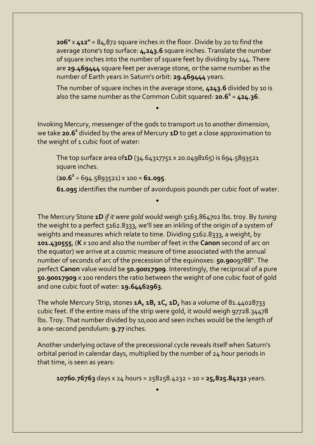**206"** x **412"** = 84,872 square inches in the floor. Divide by 20 to find the average stone's top surface: **4,243.6** square inches. Translate the number of square inches into the number of square feet by dividing by 144. There are **29.469444** square feet per average stone, or the same number as the number of Earth years in Saturn's orbit: **29.469444** years.

The number of square inches in the average stone, **4243.6** divided by 10 is also the same number as the Common Cubit squared: **20.6<sup>2</sup>** = **424.36**.

Invoking Mercury, messenger of the gods to transport us to another dimension, we take **20.6<sup>2</sup>** divided by the area of Mercury **1D** to get a close approximation to the weight of 1 cubic foot of water:

**•**

The top surface area of**1D** (34.64317751 x 20.0498165) is 694.5893521 square inches.

**•**

(**20.6<sup>2</sup>** ÷ 694.5893521) x 100 = **61.095**.

**61.095** identifies the number of avoirdupois pounds per cubic foot of water.

The Mercury Stone **1D** *if it were gold* would weigh 5163.864702 lbs. troy. By *tuning* the weight to a perfect 5162.8333, we'll see an inkling of the origin of a system of weights and measures which relate to time. Dividing 5162.8333, a weight, by **101.430555**, (**K** x 100 and also the number of feet in the **Canon** second of arc on the equator) we arrive at a cosmic measure of time associated with the annual number of seconds of arc of the precession of the equinoxes: **50.90**09788". The perfect **Canon** value would be **50.90017909**. Interestingly, the reciprocal of a pure **50.90017909** x 100 renders the ratio between the weight of one cubic foot of gold and one cubic foot of water: **19.64462963**.

The whole Mercury Strip, stones **1A, 1B, 1C, 1D,** has a volume of 81.44028733 cubic feet. If the entire mass of the strip were gold, it would weigh 97728.34478 lbs. Troy. That number divided by 10,000 and seen inches would be the length of a one-second pendulum: **9.77** inches.

Another underlying octave of the precessional cycle reveals itself when Saturn's orbital period in calendar days, multiplied by the number of 24 hour periods in that time, is seen as years:

**10760.76763** days x 24 hours = 258258.4232 ÷ 10 = **25,825.84232** years.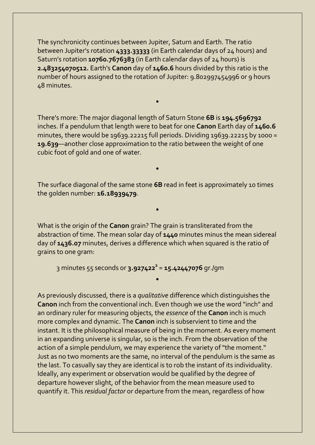The synchronicity continues between Jupiter, Saturn and Earth. The ratio between Jupiter's rotation **4333.33333** (in Earth calendar days of 24 hours) and Saturn's rotation **10760.7676383** (in Earth calendar days of 24 hours) is **2.483254070512.** Earth's **Canon** day of **1460.6** hours divided by this ratio is the number of hours assigned to the rotation of Jupiter: 9.802997454996 or 9 hours 48 minutes.

There's more: The major diagonal length of Saturn Stone **6B** is **194.5696792** inches. If a pendulum that length were to beat for one **Canon** Earth day of **1460.6**  minutes, there would be 19639.22215 full periods. Dividing 19639.22215 by 1000 = **19.639**—another close approximation to the ratio between the weight of one cubic foot of gold and one of water.

**•**

The surface diagonal of the same stone **6B** read in feet is approximately 10 times the golden number: **16.18939479**.

**•**

**•**

What is the origin of the **Canon** grain? The grain is transliterated from the abstraction of time. The mean solar day of **1440** minutes minus the mean sidereal day of **1436.07** minutes, derives a difference which when squared is the ratio of grains to one gram:

**•**

3 minutes 55 seconds or **3.927422<sup>2</sup>** = **15.42447076** gr./gm

As previously discussed, there is a *qualitative* difference which distinguishes the **Canon** inch from the conventional inch. Even though we use the word "inch" and an ordinary ruler for measuring objects, the *essence* of the **Canon** inch is much more complex and dynamic. The **Canon** inch is subservient to time and the instant. It is the philosophical measure of being in the moment. As every moment in an expanding universe is singular, so is the inch. From the observation of the action of a simple pendulum, we may experience the variety of "the moment." Just as no two moments are the same, no interval of the pendulum is the same as the last. To casually say they are identical is to rob the instant of its individuality. Ideally, any experiment or observation would be qualified by the degree of departure however slight, of the behavior from the mean measure used to quantify it. This *residual factor* or departure from the mean, regardless of how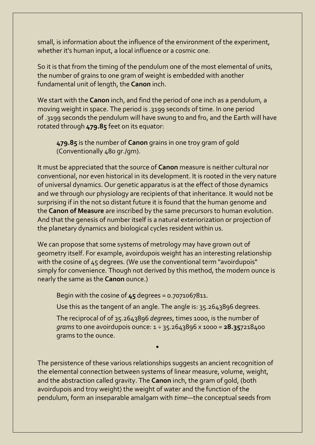small, is information about the influence of the environment of the experiment, whether it's human input, a local influence or a cosmic one.

So it is that from the timing of the pendulum one of the most elemental of units, the number of grains to one gram of weight is embedded with another fundamental unit of length, the **Canon** inch.

We start with the **Canon** inch, and find the period of one inch as a pendulum, a moving weight in space. The period is .3199 seconds of time. In one period of .3199 seconds the pendulum will have swung to and fro, and the Earth will have rotated through **479.85** feet on its equator:

**479.85** is the number of **Canon** grains in one troy gram of gold (Conventionally 480 gr./gm).

It must be appreciated that the source of **Canon** measure is neither cultural nor conventional, nor even historical in its development. It is rooted in the very nature of universal dynamics. Our genetic apparatus is at the effect of those dynamics and we through our physiology are recipients of that inheritance. It would not be surprising if in the not so distant future it is found that the human genome and the **Canon of Measure** are inscribed by the same precursors to human evolution. And that the genesis of number itself is a natural exteriorization or projection of the planetary dynamics and biological cycles resident within us.

We can propose that some systems of metrology may have grown out of geometry itself. For example, avoirdupois weight has an interesting relationship with the cosine of 45 degrees. (We use the conventional term "avoirdupois" simply for convenience. Though not derived by this method, the modern ounce is nearly the same as the **Canon** ounce.)

Begin with the cosine of **45** degrees = 0.7071067811.

Use this as the tangent of an angle. The angle is: 35.2643896 degrees.

The reciprocal of of 35.2643896 *degrees*, times 1000, is the number of *grams* to one avoirdupois ounce: 1 ÷ 35.2643896 x 1000 = **28.35**7218400 grams to the ounce.

**•**

The persistence of these various relationships suggests an ancient recognition of the elemental connection between systems of linear measure, volume, weight, and the abstraction called gravity. The **Canon** inch, the gram of gold, (both avoirdupois and troy weight) the weight of water and the function of the pendulum, form an inseparable amalgam with *time*—the conceptual seeds from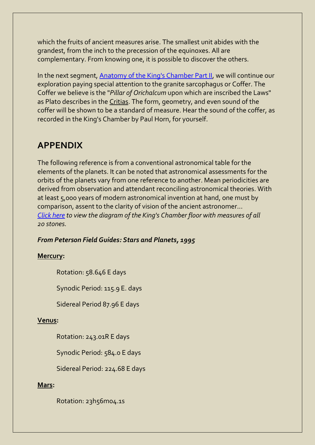which the fruits of ancient measures arise. The smallest unit abides with the grandest, from the inch to the precession of the equinoxes. All are complementary. From knowing one, it is possible to discover the others.

In the next segment, [Anatomy of the King's Chamber Part II,](http://www.sonic.net/bernard/index2.html) we will continue our exploration paying special attention to the granite sarcophagus or Coffer. The Coffer we believe is the "*Pillar of Orichalcum* upon which are inscribed the Laws" as Plato describes in the Critias. The form, geometry, and even sound of the coffer will be shown to be a standard of measure. Hear the sound of the coffer, as recorded in the King's Chamber by Paul Horn, for yourself.

# **APPENDIX**

The following reference is from a conventional astronomical table for the elements of the planets. It can be noted that astronomical assessments for the orbits of the planets vary from one reference to another. Mean periodicities are derived from observation and attendant reconciling astronomical theories. With at least 5,000 years of modern astronomical invention at hand, one must by comparison, assent to the clarity of vision of the ancient astronomer… *[Click](http://www.sonic.net/bernard/kc-floor.html) here to view the diagram of the King's Chamber floor with measures of all 20 stones.*

# *From Peterson Field Guides: Stars and Planets, 1995*

# **Mercury:**

Rotation: 58.646 E days

Synodic Period: 115.9 E. days

Sidereal Period 87.96 E days

# **Venus:**

Rotation: 243.01R E days

Synodic Period: 584.0 E days

Sidereal Period: 224.68 E days

# **Mars:**

Rotation: 23h56m04.1s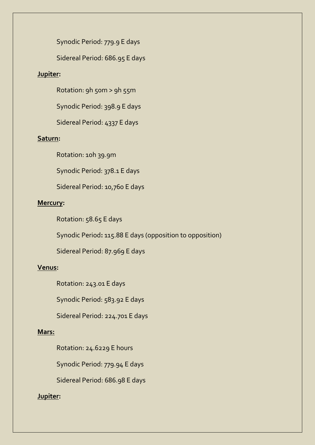Synodic Period: 779.9 E days

Sidereal Period: 686.95 E days

# **Jupiter:**

Rotation: 9h 50m > 9h 55m

Synodic Period: 398.9 E days

Sidereal Period: 4337 E days

# **Saturn:**

Rotation: 10h 39.9m

Synodic Period: 378.1 E days

Sidereal Period: 10,760 E days

#### **Mercury:**

Rotation: 58.65 E days

Synodic Period**:** 115.88 E days (opposition to opposition)

Sidereal Period: 87.969 E days

#### **Venus:**

Rotation: 243.01 E days

Synodic Period: 583.92 E days

Sidereal Period: 224.701 E days

# **Mars:**

Rotation: 24.6229 E hours

Synodic Period: 779.94 E days

Sidereal Period: 686.98 E days

## **Jupiter:**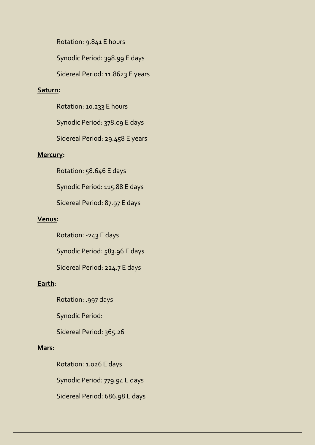Rotation: 9.841 E hours

Synodic Period: 398.99 E days

Sidereal Period: 11.8623 E years

#### **Saturn:**

Rotation: 10.233 E hours

Synodic Period: 378.09 E days

Sidereal Period: 29.458 E years

#### **Mercury:**

Rotation: 58.646 E days

Synodic Period: 115.88 E days

Sidereal Period: 87.97 E days

#### **Venus:**

Rotation: -243 E days

Synodic Period: 583.96 E days

Sidereal Period: 224.7 E days

#### **Earth**:

Rotation: .997 days

Synodic Period:

Sidereal Period: 365.26

#### **Mars:**

Rotation: 1.026 E days

Synodic Period: 779.94 E days

Sidereal Period: 686.98 E days